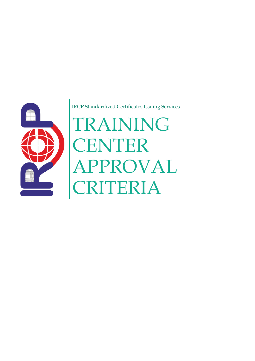

IRCP Standardized Certificates Issuing Services

# TRAINING **CENTER** APPROVAL CRITERIA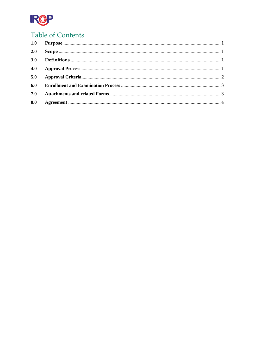

# **Table of Contents**

| 2.0 |  |
|-----|--|
|     |  |
| 4.0 |  |
| 5.0 |  |
| 6.0 |  |
|     |  |
| 8.0 |  |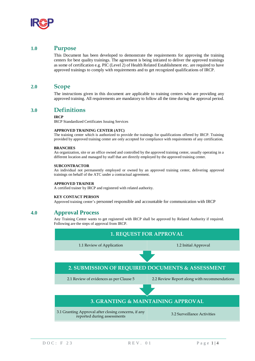

# <span id="page-2-0"></span>**1.0 Purpose**

This Document has been developed to demonstrate the requirements for approving the training centers for best quality trainings. The agreement is being initiated to deliver the approved trainings as some of certification e.g. PIC (Level 2) of Health Related Establishment etc. are required to have approved trainings to comply with requirements and to get recognized qualifications of IRCP.

## <span id="page-2-1"></span>**2.0 Scope**

The instructions given in this document are applicable to training centers who are providing any approved training. All requirements are mandatory to follow all the time during the approval period.

## <span id="page-2-2"></span>**3.0 Definitions**

#### **IRCP**

IRCP Standardized Certificates Issuing Services

#### **APPROVED TRAINING CENTER (ATC)**

The training center which is authorized to provide the trainings for qualifications offered by IRCP. Training provided by approved training center are only accepted for compliance with requirements of any certification.

#### **BRANCHES**

An organization, site or an office owned and controlled by the approved training center, usually operating in a different location and managed by staff that are directly employed by the approved training center.

#### **SUBCONTRACTOR**

An individual not permanently employed or owned by an approved training center, delivering approved trainings on behalf of the ATC under a contractual agreement.

#### **APPROVED TRAINER**

A certified trainer by IRCP and registered with related authority.

#### **KEY CONTACT PERSON**

Approved training center's personnel responsible and accountable for communication with IRCP

# <span id="page-2-3"></span>**4.0 Approval Process**

Any Training Center wants to get registered with IRCP shall be approved by Related Authority if required. Following are the steps of approval from IRCP.

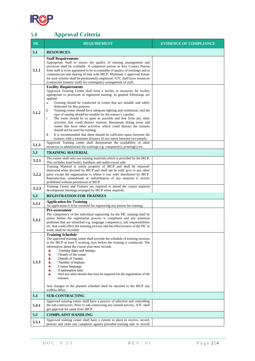

# <span id="page-3-0"></span>**5.0 Approval Criteria**

| SR.   | <b>REQUIREMENT</b>                                                                                                                                                                                                                                                                                                                                                                                                                                                                                                                                                                                                                                                                                                                                                                                                                                                                | <b>EVIDENCE OF COMPLIANCE</b> |
|-------|-----------------------------------------------------------------------------------------------------------------------------------------------------------------------------------------------------------------------------------------------------------------------------------------------------------------------------------------------------------------------------------------------------------------------------------------------------------------------------------------------------------------------------------------------------------------------------------------------------------------------------------------------------------------------------------------------------------------------------------------------------------------------------------------------------------------------------------------------------------------------------------|-------------------------------|
| 5.1   | <b>RESOURCES</b>                                                                                                                                                                                                                                                                                                                                                                                                                                                                                                                                                                                                                                                                                                                                                                                                                                                                  |                               |
| 5.1.1 | <b>Staff Requirements</b><br>Appropriate Staff to ensure the quality of training management and<br>provision shall be available. A competent person as Key Contact Person<br>from staff is to be appointed to be accountable of quality of trainings and to<br>communicate and sharing of data with IRCP. Minimum 1 approved trainer<br>for each scheme shall be permanently employed. ATC shall have resources<br>(contracted trainers/staff) for contingency arrangement of staff.                                                                                                                                                                                                                                                                                                                                                                                              |                               |
| 5.1.2 | <b>Facility Requirements</b><br>Approved Training Center shall have a facility or resources for facility<br>appropriate to provision of registered training. In general followings are<br>applied:<br>Training should be conducted in rooms that are suitable and solely<br>a.<br>dedicated for that purpose.<br>Training rooms should have adequate lighting and ventilation, and the<br>b<br>type of seating should be suitable for the trainee's comfort.<br>The room should be as quiet as possible and free from any other<br>$\mathbf c$<br>activities that could distract trainees. Restaurant dining areas and<br>rooms that have other activities which could distract the trainees<br>should not be used for training.<br>d<br>It is recommended that there should be sufficient space between the<br>trainees with a minimum distance of one meter between two people. |                               |
| 5.1.3 | Approved Training center shall demonstrate the availability of other<br>resources to administrate the trainings e.g. computer(s), printing(s) etc.                                                                                                                                                                                                                                                                                                                                                                                                                                                                                                                                                                                                                                                                                                                                |                               |
| 5.2   | <b>TRAINING MATERIAL</b>                                                                                                                                                                                                                                                                                                                                                                                                                                                                                                                                                                                                                                                                                                                                                                                                                                                          |                               |
| 5.2.1 | The trainer shall only use training materials which is provided by the IRCP.<br>This includes hand books, handouts and audio-visual aids.                                                                                                                                                                                                                                                                                                                                                                                                                                                                                                                                                                                                                                                                                                                                         |                               |
| 5.2.2 | Training Material is solely property of IRCP and shall be returned/<br>destroyed when dictated by IRCP and shall not be sold/give to any other<br>party except the organization to whom it was sold/distributed by IRCP.<br>Reproduction, amendment or redistribution of any material is strictly<br>prohibited without permission of IRCP.                                                                                                                                                                                                                                                                                                                                                                                                                                                                                                                                       |                               |
| 5.2.3 | Training Center and Trainers are required to attend the course material<br>development meetings arranged by IRCP when required.                                                                                                                                                                                                                                                                                                                                                                                                                                                                                                                                                                                                                                                                                                                                                   |                               |
| 5.3   | <b>REGISTRATION FOR TRAINEES</b>                                                                                                                                                                                                                                                                                                                                                                                                                                                                                                                                                                                                                                                                                                                                                                                                                                                  |                               |
| 5.3.1 | <b>Application for Training</b><br>An application is to be received for registering any person for training.                                                                                                                                                                                                                                                                                                                                                                                                                                                                                                                                                                                                                                                                                                                                                                      |                               |
| 5.3.2 | Pre-assessment<br>The competency of the individual registering for the PIC training shall be<br>assess before the registration process is completed and any potential<br>problems that are identified e.g. language competency, job responsibilities<br>etc. that could affect the learning process and the effectiveness of the PIC at<br>work, shall be recorded.                                                                                                                                                                                                                                                                                                                                                                                                                                                                                                               |                               |
| 5.3.3 | <b>Training Schedule</b><br>The approved training center shall provide the schedule of training sessions<br>to the IRCP at least 5 working days before the training is conducted. The<br>information about the course plan must include.<br>$\Box$ Training dates and timings<br>÷<br>4<br>$\square$ Details of the venue<br>□Details of Trainer<br>4<br>$\Box$ Number of trainees<br>₩<br>4<br>$\Box$ Course language<br>$\Box$ Examination time<br>4<br>÷.<br>And any other details that may be required for the registration of the<br>trainees.                                                                                                                                                                                                                                                                                                                               |                               |
|       | Any changes in the planned schedule shall be reported to the IRCP any<br>without delay.                                                                                                                                                                                                                                                                                                                                                                                                                                                                                                                                                                                                                                                                                                                                                                                           |                               |
| 5.4   | <b>SUB-CONTRACTING</b>                                                                                                                                                                                                                                                                                                                                                                                                                                                                                                                                                                                                                                                                                                                                                                                                                                                            |                               |
| 5.4.1 | Approved training center shall have a process of selection and controlling<br>the sub-contractors. Prior to sub-contracting any related activity, ATC shall<br>get approval for same from IRCP.                                                                                                                                                                                                                                                                                                                                                                                                                                                                                                                                                                                                                                                                                   |                               |
| 5.5   | <b>COMPLAINT HANDLING</b>                                                                                                                                                                                                                                                                                                                                                                                                                                                                                                                                                                                                                                                                                                                                                                                                                                                         |                               |
| 5.5.1 | Approved training center shall have a system in place to receive, record,<br>process and close any complaint against provided training and/ or overall                                                                                                                                                                                                                                                                                                                                                                                                                                                                                                                                                                                                                                                                                                                            |                               |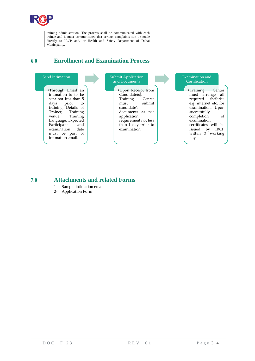

| training administration. The process shall be communicated with each |
|----------------------------------------------------------------------|
| trainee and it must communicated that serious complaints can be made |
| directly to IRCP and/ or Health and Safety Department of Dubai       |
| Municipality.                                                        |

# <span id="page-4-0"></span>**6.0 Enrollment and Examination Process**



# <span id="page-4-1"></span>**7.0 Attachments and related Forms**

- 1- Sample intimation email
- 2- Application Form